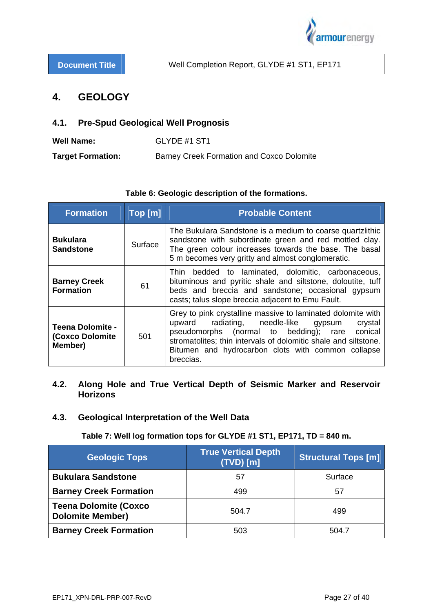

# **4. GEOLOGY**

## **4.1. Pre-Spud Geological Well Prognosis**

| Well Name:               | GLYDE #1 ST1                              |
|--------------------------|-------------------------------------------|
| <b>Target Formation:</b> | Barney Creek Formation and Coxco Dolomite |

| <b>Formation</b>                                              | Top[m]  | <b>Probable Content</b>                                                                                                                                                                                                                                                                                         |
|---------------------------------------------------------------|---------|-----------------------------------------------------------------------------------------------------------------------------------------------------------------------------------------------------------------------------------------------------------------------------------------------------------------|
| <b>Bukulara</b><br><b>Sandstone</b>                           | Surface | The Bukulara Sandstone is a medium to coarse quartzlithic<br>sandstone with subordinate green and red mottled clay.<br>The green colour increases towards the base. The basal<br>5 m becomes very gritty and almost conglomeratic.                                                                              |
| <b>Barney Creek</b><br>61<br><b>Formation</b>                 |         | Thin bedded to laminated, dolomitic, carbonaceous,<br>bituminous and pyritic shale and siltstone, doloutite, tuff<br>beds and breccia and sandstone; occasional gypsum<br>casts; talus slope breccia adjacent to Emu Fault.                                                                                     |
| <b>Teena Dolomite -</b><br><b>(Coxco Dolomite)</b><br>Member) | 501     | Grey to pink crystalline massive to laminated dolomite with<br>radiating, needle-like<br>upward<br>crystal<br>gypsum<br>pseudomorphs (normal to bedding); rare<br>conical<br>stromatolites; thin intervals of dolomitic shale and siltstone.<br>Bitumen and hydrocarbon clots with common collapse<br>breccias. |

# **Table 6: Geologic description of the formations.**

# **4.2. Along Hole and True Vertical Depth of Seismic Marker and Reservoir Horizons**

# **4.3. Geological Interpretation of the Well Data**

## **Table 7: Well log formation tops for GLYDE #1 ST1, EP171, TD = 840 m.**

| <b>Geologic Tops</b>                                    | <b>True Vertical Depth</b><br>$(TVD)$ $[m]$ | <b>Structural Tops [m]</b> |
|---------------------------------------------------------|---------------------------------------------|----------------------------|
| <b>Bukulara Sandstone</b>                               | 57                                          | Surface                    |
| <b>Barney Creek Formation</b>                           | 499                                         | 57                         |
| <b>Teena Dolomite (Coxco</b><br><b>Dolomite Member)</b> | 504.7                                       | 499                        |
| <b>Barney Creek Formation</b>                           | 503                                         | 504.7                      |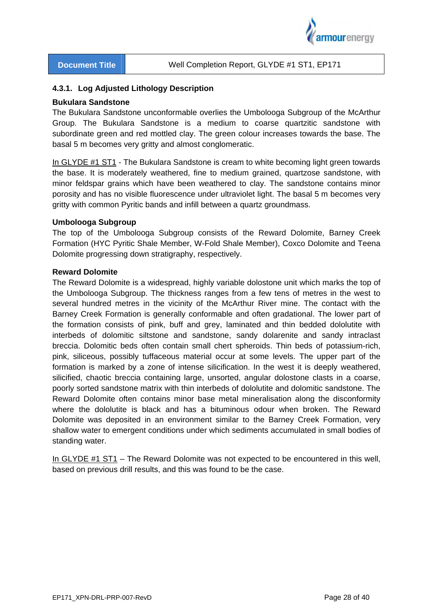

### **4.3.1. Log Adjusted Lithology Description**

#### **Bukulara Sandstone**

The Bukulara Sandstone unconformable overlies the Umbolooga Subgroup of the McArthur Group. The Bukulara Sandstone is a medium to coarse quartzitic sandstone with subordinate green and red mottled clay. The green colour increases towards the base. The basal 5 m becomes very gritty and almost conglomeratic.

In GLYDE #1 ST1 - The Bukulara Sandstone is cream to white becoming light green towards the base. It is moderately weathered, fine to medium grained, quartzose sandstone, with minor feldspar grains which have been weathered to clay. The sandstone contains minor porosity and has no visible fluorescence under ultraviolet light. The basal 5 m becomes very gritty with common Pyritic bands and infill between a quartz groundmass.

### **Umbolooga Subgroup**

The top of the Umbolooga Subgroup consists of the Reward Dolomite, Barney Creek Formation (HYC Pyritic Shale Member, W-Fold Shale Member), Coxco Dolomite and Teena Dolomite progressing down stratigraphy, respectively.

#### **Reward Dolomite**

The Reward Dolomite is a widespread, highly variable dolostone unit which marks the top of the Umbolooga Subgroup. The thickness ranges from a few tens of metres in the west to several hundred metres in the vicinity of the McArthur River mine. The contact with the Barney Creek Formation is generally conformable and often gradational. The lower part of the formation consists of pink, buff and grey, laminated and thin bedded dololutite with interbeds of dolomitic siltstone and sandstone, sandy dolarenite and sandy intraclast breccia. Dolomitic beds often contain small chert spheroids. Thin beds of potassium-rich, pink, siliceous, possibly tuffaceous material occur at some levels. The upper part of the formation is marked by a zone of intense silicification. In the west it is deeply weathered, silicified, chaotic breccia containing large, unsorted, angular dolostone clasts in a coarse, poorly sorted sandstone matrix with thin interbeds of dololutite and dolomitic sandstone. The Reward Dolomite often contains minor base metal mineralisation along the disconformity where the dololutite is black and has a bituminous odour when broken. The Reward Dolomite was deposited in an environment similar to the Barney Creek Formation, very shallow water to emergent conditions under which sediments accumulated in small bodies of standing water.

In GLYDE #1 ST1 – The Reward Dolomite was not expected to be encountered in this well, based on previous drill results, and this was found to be the case.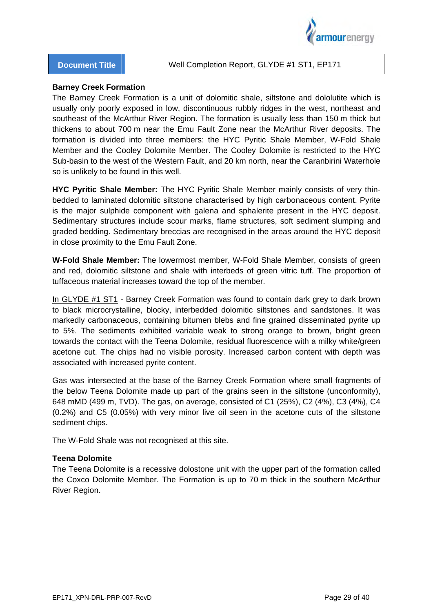

#### **Barney Creek Formation**

The Barney Creek Formation is a unit of dolomitic shale, siltstone and dololutite which is usually only poorly exposed in low, discontinuous rubbly ridges in the west, northeast and southeast of the McArthur River Region. The formation is usually less than 150 m thick but thickens to about 700 m near the Emu Fault Zone near the McArthur River deposits. The formation is divided into three members: the HYC Pyritic Shale Member, W-Fold Shale Member and the Cooley Dolomite Member. The Cooley Dolomite is restricted to the HYC Sub-basin to the west of the Western Fault, and 20 km north, near the Caranbirini Waterhole so is unlikely to be found in this well.

**HYC Pyritic Shale Member:** The HYC Pyritic Shale Member mainly consists of very thinbedded to laminated dolomitic siltstone characterised by high carbonaceous content. Pyrite is the major sulphide component with galena and sphalerite present in the HYC deposit. Sedimentary structures include scour marks, flame structures, soft sediment slumping and graded bedding. Sedimentary breccias are recognised in the areas around the HYC deposit in close proximity to the Emu Fault Zone.

**W-Fold Shale Member:** The lowermost member, W-Fold Shale Member, consists of green and red, dolomitic siltstone and shale with interbeds of green vitric tuff. The proportion of tuffaceous material increases toward the top of the member.

In GLYDE #1 ST1 - Barney Creek Formation was found to contain dark grey to dark brown to black microcrystalline, blocky, interbedded dolomitic siltstones and sandstones. It was markedly carbonaceous, containing bitumen blebs and fine grained disseminated pyrite up to 5%. The sediments exhibited variable weak to strong orange to brown, bright green towards the contact with the Teena Dolomite, residual fluorescence with a milky white/green acetone cut. The chips had no visible porosity. Increased carbon content with depth was associated with increased pyrite content.

Gas was intersected at the base of the Barney Creek Formation where small fragments of the below Teena Dolomite made up part of the grains seen in the siltstone (unconformity), 648 mMD (499 m, TVD). The gas, on average, consisted of C1 (25%), C2 (4%), C3 (4%), C4 (0.2%) and C5 (0.05%) with very minor live oil seen in the acetone cuts of the siltstone sediment chips.

The W-Fold Shale was not recognised at this site.

#### **Teena Dolomite**

The Teena Dolomite is a recessive dolostone unit with the upper part of the formation called the Coxco Dolomite Member. The Formation is up to 70 m thick in the southern McArthur River Region.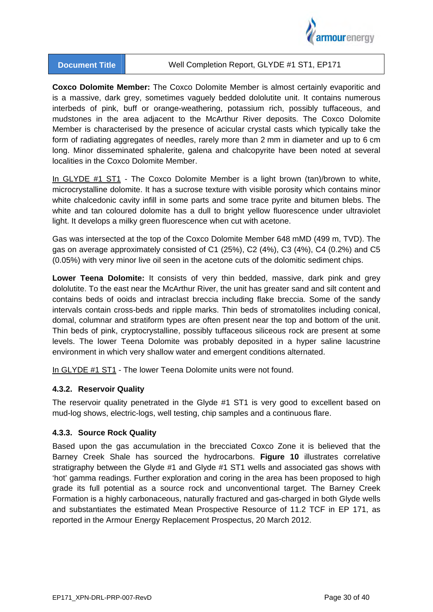

**Coxco Dolomite Member:** The Coxco Dolomite Member is almost certainly evaporitic and is a massive, dark grey, sometimes vaguely bedded dololutite unit. It contains numerous interbeds of pink, buff or orange-weathering, potassium rich, possibly tuffaceous, and mudstones in the area adjacent to the McArthur River deposits. The Coxco Dolomite Member is characterised by the presence of acicular crystal casts which typically take the form of radiating aggregates of needles, rarely more than 2 mm in diameter and up to 6 cm long. Minor disseminated sphalerite, galena and chalcopyrite have been noted at several localities in the Coxco Dolomite Member.

In GLYDE #1 ST1 - The Coxco Dolomite Member is a light brown (tan)/brown to white, microcrystalline dolomite. It has a sucrose texture with visible porosity which contains minor white chalcedonic cavity infill in some parts and some trace pyrite and bitumen blebs. The white and tan coloured dolomite has a dull to bright yellow fluorescence under ultraviolet light. It develops a milky green fluorescence when cut with acetone.

Gas was intersected at the top of the Coxco Dolomite Member 648 mMD (499 m, TVD). The gas on average approximately consisted of C1 (25%), C2 (4%), C3 (4%), C4 (0.2%) and C5 (0.05%) with very minor live oil seen in the acetone cuts of the dolomitic sediment chips.

**Lower Teena Dolomite:** It consists of very thin bedded, massive, dark pink and grey dololutite. To the east near the McArthur River, the unit has greater sand and silt content and contains beds of ooids and intraclast breccia including flake breccia. Some of the sandy intervals contain cross-beds and ripple marks. Thin beds of stromatolites including conical, domal, columnar and stratiform types are often present near the top and bottom of the unit. Thin beds of pink, cryptocrystalline, possibly tuffaceous siliceous rock are present at some levels. The lower Teena Dolomite was probably deposited in a hyper saline lacustrine environment in which very shallow water and emergent conditions alternated.

In GLYDE #1 ST1 - The lower Teena Dolomite units were not found.

## **4.3.2. Reservoir Quality**

The reservoir quality penetrated in the Glyde #1 ST1 is very good to excellent based on mud-log shows, electric-logs, well testing, chip samples and a continuous flare.

## **4.3.3. Source Rock Quality**

Based upon the gas accumulation in the brecciated Coxco Zone it is believed that the Barney Creek Shale has sourced the hydrocarbons. **Figure 10** illustrates correlative stratigraphy between the Glyde #1 and Glyde #1 ST1 wells and associated gas shows with 'hot' gamma readings. Further exploration and coring in the area has been proposed to high grade its full potential as a source rock and unconventional target. The Barney Creek Formation is a highly carbonaceous, naturally fractured and gas-charged in both Glyde wells and substantiates the estimated Mean Prospective Resource of 11.2 TCF in EP 171, as reported in the Armour Energy Replacement Prospectus, 20 March 2012.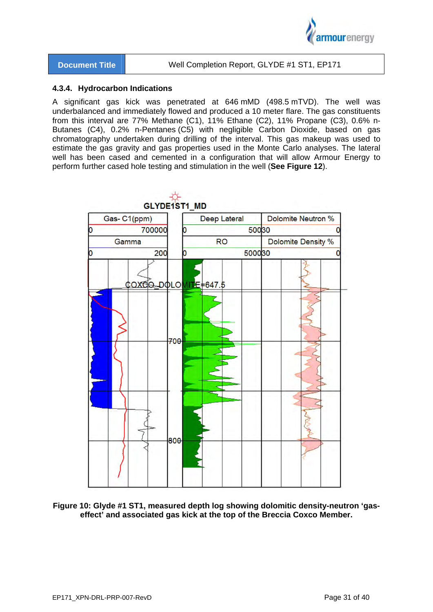

### **4.3.4. Hydrocarbon Indications**

A significant gas kick was penetrated at 646 mMD (498.5 mTVD). The well was underbalanced and immediately flowed and produced a 10 meter flare. The gas constituents from this interval are 77% Methane (C1), 11% Ethane (C2), 11% Propane (C3), 0.6% n-Butanes (C4), 0.2% n-Pentanes (C5) with negligible Carbon Dioxide, based on gas chromatography undertaken during drilling of the interval. This gas makeup was used to estimate the gas gravity and gas properties used in the Monte Carlo analyses. The lateral well has been cased and cemented in a configuration that will allow Armour Energy to perform further cased hole testing and stimulation in the well (**See Figure 12**).



**Figure 10: Glyde #1 ST1, measured depth log showing dolomitic density-neutron 'gaseffect' and associated gas kick at the top of the Breccia Coxco Member.**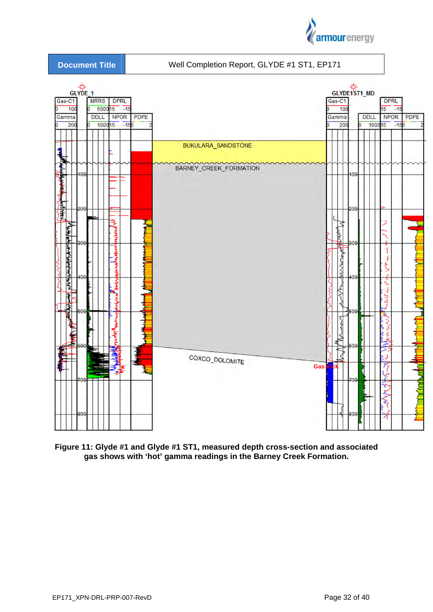



**Figure 11: Glyde #1 and Glyde #1 ST1, measured depth cross-section and associated gas shows with 'hot' gamma readings in the Barney Creek Formation.**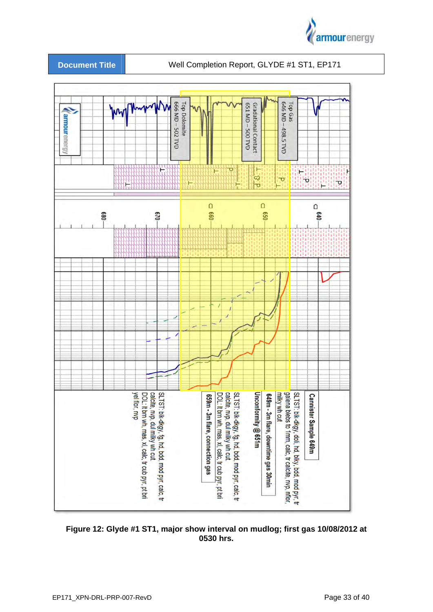



**Figure 12: Glyde #1 ST1, major show interval on mudlog; first gas 10/08/2012 at 0530 hrs.**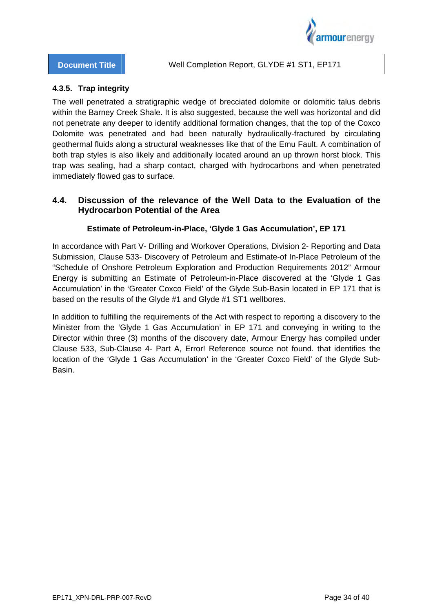

## **4.3.5. Trap integrity**

The well penetrated a stratigraphic wedge of brecciated dolomite or dolomitic talus debris within the Barney Creek Shale. It is also suggested, because the well was horizontal and did not penetrate any deeper to identify additional formation changes, that the top of the Coxco Dolomite was penetrated and had been naturally hydraulically-fractured by circulating geothermal fluids along a structural weaknesses like that of the Emu Fault. A combination of both trap styles is also likely and additionally located around an up thrown horst block. This trap was sealing, had a sharp contact, charged with hydrocarbons and when penetrated immediately flowed gas to surface.

# **4.4. Discussion of the relevance of the Well Data to the Evaluation of the Hydrocarbon Potential of the Area**

## **Estimate of Petroleum-in-Place, 'Glyde 1 Gas Accumulation', EP 171**

In accordance with Part V- Drilling and Workover Operations, Division 2- Reporting and Data Submission, Clause 533- Discovery of Petroleum and Estimate-of In-Place Petroleum of the "Schedule of Onshore Petroleum Exploration and Production Requirements 2012" Armour Energy is submitting an Estimate of Petroleum-in-Place discovered at the 'Glyde 1 Gas Accumulation' in the 'Greater Coxco Field' of the Glyde Sub-Basin located in EP 171 that is based on the results of the Glyde #1 and Glyde #1 ST1 wellbores.

In addition to fulfilling the requirements of the Act with respect to reporting a discovery to the Minister from the 'Glyde 1 Gas Accumulation' in EP 171 and conveying in writing to the Director within three (3) months of the discovery date, Armour Energy has compiled under Clause 533, Sub-Clause 4- Part A, Error! Reference source not found. that identifies the location of the 'Glyde 1 Gas Accumulation' in the 'Greater Coxco Field' of the Glyde Sub-Basin.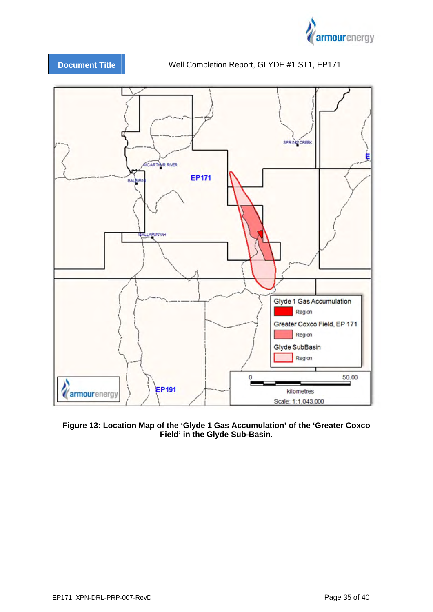



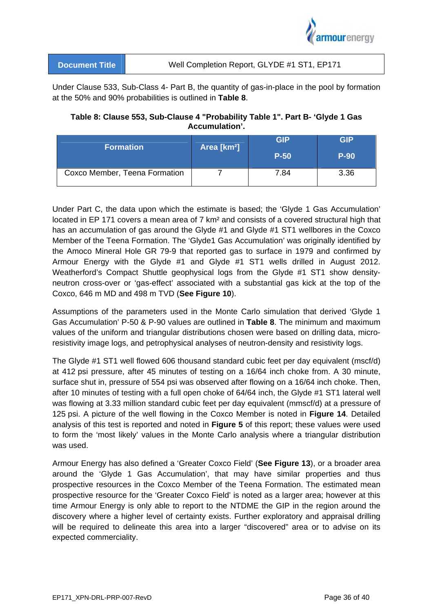

| <b>Document Title</b> | Well Completion Report, GLYDE #1 ST1, EP171 |  |
|-----------------------|---------------------------------------------|--|
|                       |                                             |  |

Under Clause 533, Sub-Class 4- Part B, the quantity of gas-in-place in the pool by formation at the 50% and 90% probabilities is outlined in **Table 8**.

## **Table 8: Clause 553, Sub-Clause 4 "Probability Table 1". Part B- 'Glyde 1 Gas Accumulation'.**

| <b>Formation</b>              | Area [km <sup>2</sup> ] | <b>GIP</b><br>$P-50$ | <b>GIP</b><br><b>P-90</b> |
|-------------------------------|-------------------------|----------------------|---------------------------|
| Coxco Member, Teena Formation |                         | 7.84                 | 3.36                      |

Under Part C, the data upon which the estimate is based; the 'Glyde 1 Gas Accumulation' located in EP 171 covers a mean area of 7 km² and consists of a covered structural high that has an accumulation of gas around the Glyde #1 and Glyde #1 ST1 wellbores in the Coxco Member of the Teena Formation. The 'Glyde1 Gas Accumulation' was originally identified by the Amoco Mineral Hole GR 79-9 that reported gas to surface in 1979 and confirmed by Armour Energy with the Glyde #1 and Glyde #1 ST1 wells drilled in August 2012. Weatherford's Compact Shuttle geophysical logs from the Glyde #1 ST1 show densityneutron cross-over or 'gas-effect' associated with a substantial gas kick at the top of the Coxco, 646 m MD and 498 m TVD (**See Figure 10**).

Assumptions of the parameters used in the Monte Carlo simulation that derived 'Glyde 1 Gas Accumulation' P-50 & P-90 values are outlined in **Table 8**. The minimum and maximum values of the uniform and triangular distributions chosen were based on drilling data, microresistivity image logs, and petrophysical analyses of neutron-density and resistivity logs.

The Glyde #1 ST1 well flowed 606 thousand standard cubic feet per day equivalent (mscf/d) at 412 psi pressure, after 45 minutes of testing on a 16/64 inch choke from. A 30 minute, surface shut in, pressure of 554 psi was observed after flowing on a 16/64 inch choke. Then, after 10 minutes of testing with a full open choke of 64/64 inch, the Glyde #1 ST1 lateral well was flowing at 3.33 million standard cubic feet per day equivalent (mmscf/d) at a pressure of 125 psi. A picture of the well flowing in the Coxco Member is noted in **Figure 14**. Detailed analysis of this test is reported and noted in **Figure 5** of this report; these values were used to form the 'most likely' values in the Monte Carlo analysis where a triangular distribution was used.

Armour Energy has also defined a 'Greater Coxco Field' (**See Figure 13**), or a broader area around the 'Glyde 1 Gas Accumulation', that may have similar properties and thus prospective resources in the Coxco Member of the Teena Formation. The estimated mean prospective resource for the 'Greater Coxco Field' is noted as a larger area; however at this time Armour Energy is only able to report to the NTDME the GIP in the region around the discovery where a higher level of certainty exists. Further exploratory and appraisal drilling will be required to delineate this area into a larger "discovered" area or to advise on its expected commerciality.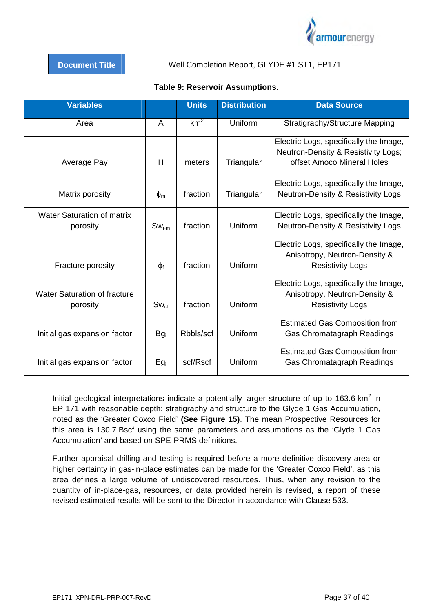

| <b>Document Title</b> |  |  |  |  |
|-----------------------|--|--|--|--|
|                       |  |  |  |  |
|                       |  |  |  |  |

### Well Completion Report, GLYDE #1 ST1, EP171

| <b>Variables</b>                                |                | <b>Units</b>    | <b>Distribution</b> | <b>Data Source</b>                                                                                          |
|-------------------------------------------------|----------------|-----------------|---------------------|-------------------------------------------------------------------------------------------------------------|
| Area                                            | A              | km <sup>2</sup> | Uniform             | Stratigraphy/Structure Mapping                                                                              |
| Average Pay                                     | H              | meters          | Triangular          | Electric Logs, specifically the Image,<br>Neutron-Density & Resistivity Logs;<br>offset Amoco Mineral Holes |
| Matrix porosity                                 | $\Phi_{\rm m}$ | fraction        | Triangular          | Electric Logs, specifically the Image,<br><b>Neutron-Density &amp; Resistivity Logs</b>                     |
| <b>Water Saturation of matrix</b><br>porosity   | $Sw_{i-m}$     | fraction        | Uniform             | Electric Logs, specifically the Image,<br><b>Neutron-Density &amp; Resistivity Logs</b>                     |
| Fracture porosity                               | $\Phi_f$       | fraction        | Uniform             | Electric Logs, specifically the Image,<br>Anisotropy, Neutron-Density &<br><b>Resistivity Logs</b>          |
| <b>Water Saturation of fracture</b><br>porosity | $Sw_{i-f}$     | fraction        | Uniform             | Electric Logs, specifically the Image,<br>Anisotropy, Neutron-Density &<br><b>Resistivity Logs</b>          |
| Initial gas expansion factor                    | $Bg_i$         | Rbbls/scf       | Uniform             | <b>Estimated Gas Composition from</b><br>Gas Chromatagraph Readings                                         |
| Initial gas expansion factor                    | $Eg_i$         | scf/Rscf        | Uniform             | <b>Estimated Gas Composition from</b><br>Gas Chromatagraph Readings                                         |

## **Table 9: Reservoir Assumptions.**

Initial geological interpretations indicate a potentially larger structure of up to 163.6  $km^2$  in EP 171 with reasonable depth; stratigraphy and structure to the Glyde 1 Gas Accumulation, noted as the 'Greater Coxco Field' **(See Figure 15)**. The mean Prospective Resources for this area is 130.7 Bscf using the same parameters and assumptions as the 'Glyde 1 Gas Accumulation' and based on SPE-PRMS definitions.

Further appraisal drilling and testing is required before a more definitive discovery area or higher certainty in gas-in-place estimates can be made for the 'Greater Coxco Field', as this area defines a large volume of undiscovered resources. Thus, when any revision to the quantity of in-place-gas, resources, or data provided herein is revised, a report of these revised estimated results will be sent to the Director in accordance with Clause 533.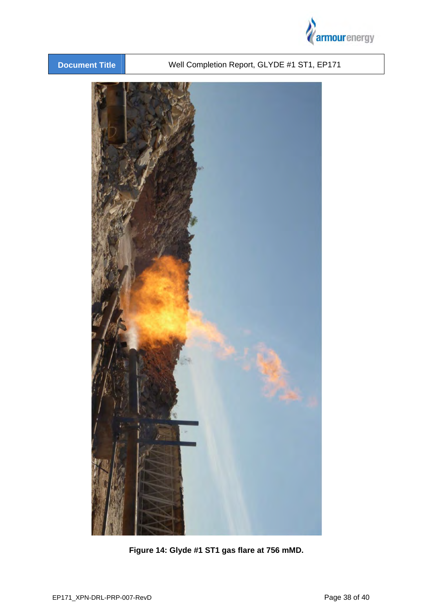



**Figure 14: Glyde #1 ST1 gas flare at 756 mMD.**